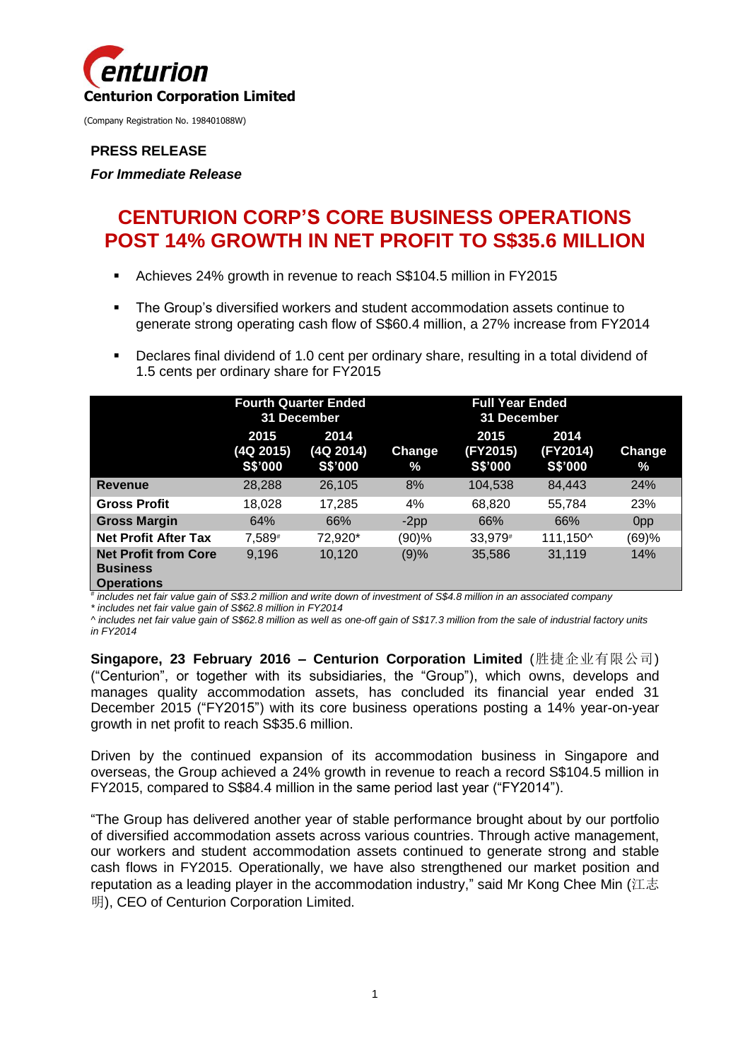

### **PRESS RELEASE**

*For Immediate Release*

# **CENTURION CORP'S CORE BUSINESS OPERATIONS POST 14% GROWTH IN NET PROFIT TO S\$35.6 MILLION**

- Achieves 24% growth in revenue to reach S\$104.5 million in FY2015
- The Group's diversified workers and student accommodation assets continue to generate strong operating cash flow of S\$60.4 million, a 27% increase from FY2014
- Declares final dividend of 1.0 cent per ordinary share, resulting in a total dividend of 1.5 cents per ordinary share for FY2015

|                                                                     | <b>Fourth Quarter Ended</b><br>31 December |                              | <b>Full Year Ended</b><br>31 December |                             |                             |                         |
|---------------------------------------------------------------------|--------------------------------------------|------------------------------|---------------------------------------|-----------------------------|-----------------------------|-------------------------|
|                                                                     | 2015<br>(4Q 2015)<br>S\$'000               | 2014<br>(4Q 2014)<br>S\$'000 | Change<br>$\%$                        | 2015<br>(FY2015)<br>S\$'000 | 2014<br>(FY2014)<br>S\$'000 | Change<br>$\frac{9}{6}$ |
| <b>Revenue</b>                                                      | 28,288                                     | 26,105                       | 8%                                    | 104,538                     | 84,443                      | 24%                     |
| <b>Gross Profit</b>                                                 | 18,028                                     | 17,285                       | 4%                                    | 68,820                      | 55,784                      | 23%                     |
| <b>Gross Margin</b>                                                 | 64%                                        | 66%                          | $-2pp$                                | 66%                         | 66%                         | 0 <sub>pp</sub>         |
| <b>Net Profit After Tax</b>                                         | 7.589#                                     | 72.920*                      | (90)%                                 | 33,979#                     | 111,150^                    | (69)%                   |
| <b>Net Profit from Core</b><br><b>Business</b><br><b>Operations</b> | 9,196                                      | 10,120                       | (9)%                                  | 35,586                      | 31,119                      | 14%                     |

*# includes net fair value gain of S\$3.2 million and write down of investment of S\$4.8 million in an associated company*

*\* includes net fair value gain of S\$62.8 million in FY2014*

*^ includes net fair value gain of S\$62.8 million as well as one-off gain of S\$17.3 million from the sale of industrial factory units in FY2014*

**Singapore, 23 February 2016 – Centurion Corporation Limited** (胜捷企业有限公司) ("Centurion", or together with its subsidiaries, the "Group"), which owns, develops and manages quality accommodation assets, has concluded its financial year ended 31 December 2015 ("FY2015") with its core business operations posting a 14% year-on-year growth in net profit to reach S\$35.6 million.

Driven by the continued expansion of its accommodation business in Singapore and overseas, the Group achieved a 24% growth in revenue to reach a record S\$104.5 million in FY2015, compared to S\$84.4 million in the same period last year ("FY2014").

"The Group has delivered another year of stable performance brought about by our portfolio of diversified accommodation assets across various countries. Through active management, our workers and student accommodation assets continued to generate strong and stable cash flows in FY2015. Operationally, we have also strengthened our market position and reputation as a leading player in the accommodation industry," said Mr Kong Chee Min (江志 明), CEO of Centurion Corporation Limited.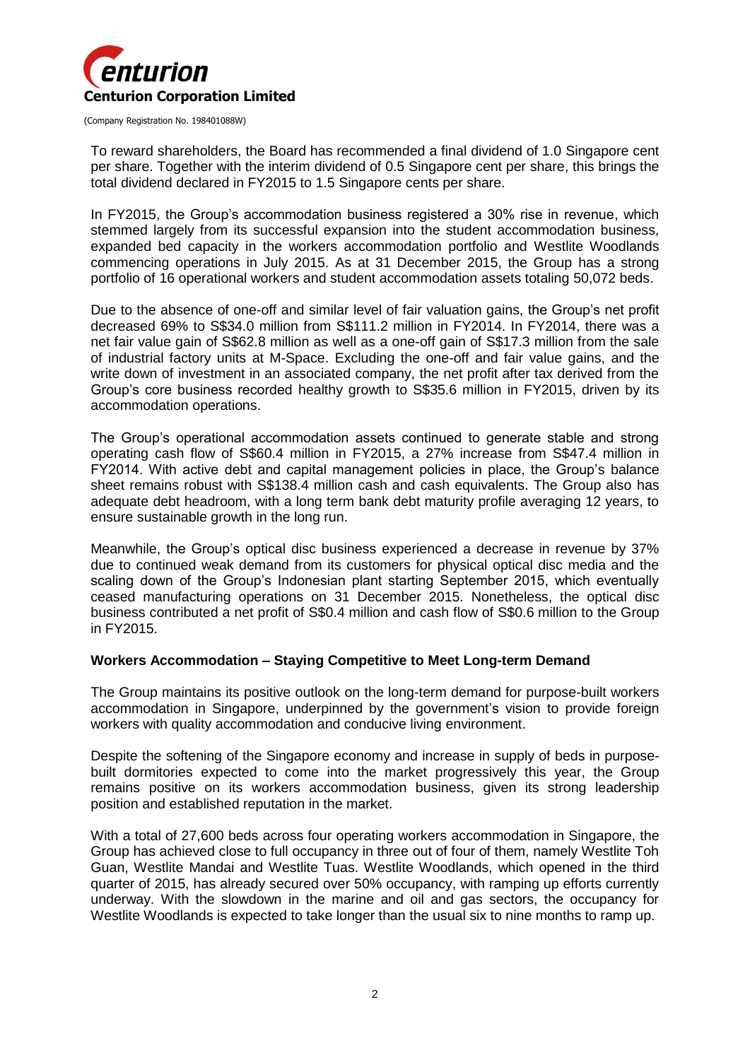

To reward shareholders, the Board has recommended a final dividend of 1.0 Singapore cent per share. Together with the interim dividend of 0.5 Singapore cent per share, this brings the total dividend declared in FY2015 to 1.5 Singapore cents per share.

In FY2015, the Group's accommodation business registered a 30% rise in revenue, which stemmed largely from its successful expansion into the student accommodation business, expanded bed capacity in the workers accommodation portfolio and Westlite Woodlands commencing operations in July 2015. As at 31 December 2015, the Group has a strong portfolio of 16 operational workers and student accommodation assets totaling 50,072 beds.

Due to the absence of one-off and similar level of fair valuation gains, the Group's net profit decreased 69% to S\$34.0 million from S\$111.2 million in FY2014. In FY2014, there was a net fair value gain of S\$62.8 million as well as a one-off gain of S\$17.3 million from the sale of industrial factory units at M-Space. Excluding the one-off and fair value gains, and the write down of investment in an associated company, the net profit after tax derived from the Group's core business recorded healthy growth to S\$35.6 million in FY2015, driven by its accommodation operations.

The Group's operational accommodation assets continued to generate stable and strong operating cash flow of S\$60.4 million in FY2015, a 27% increase from S\$47.4 million in FY2014. With active debt and capital management policies in place, the Group's balance sheet remains robust with S\$138.4 million cash and cash equivalents. The Group also has adequate debt headroom, with a long term bank debt maturity profile averaging 12 years, to ensure sustainable growth in the long run.

Meanwhile, the Group's optical disc business experienced a decrease in revenue by 37% due to continued weak demand from its customers for physical optical disc media and the scaling down of the Group's Indonesian plant starting September 2015, which eventually ceased manufacturing operations on 31 December 2015. Nonetheless, the optical disc business contributed a net profit of S\$0.4 million and cash flow of S\$0.6 million to the Group in FY2015.

#### **Workers Accommodation – Staying Competitive to Meet Long-term Demand**

The Group maintains its positive outlook on the long-term demand for purpose-built workers accommodation in Singapore, underpinned by the government's vision to provide foreign workers with quality accommodation and conducive living environment.

Despite the softening of the Singapore economy and increase in supply of beds in purposebuilt dormitories expected to come into the market progressively this year, the Group remains positive on its workers accommodation business, given its strong leadership position and established reputation in the market.

With a total of 27,600 beds across four operating workers accommodation in Singapore, the Group has achieved close to full occupancy in three out of four of them, namely Westlite Toh Guan, Westlite Mandai and Westlite Tuas. Westlite Woodlands, which opened in the third quarter of 2015, has already secured over 50% occupancy, with ramping up efforts currently underway. With the slowdown in the marine and oil and gas sectors, the occupancy for Westlite Woodlands is expected to take longer than the usual six to nine months to ramp up.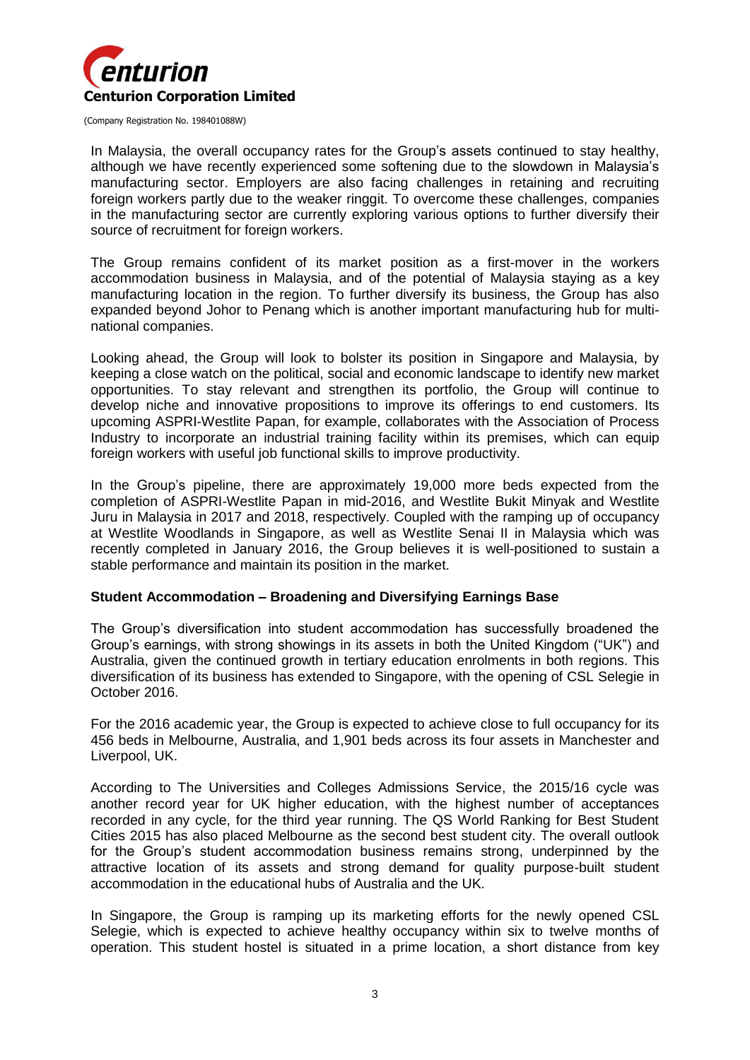

In Malaysia, the overall occupancy rates for the Group's assets continued to stay healthy, although we have recently experienced some softening due to the slowdown in Malaysia's manufacturing sector. Employers are also facing challenges in retaining and recruiting foreign workers partly due to the weaker ringgit. To overcome these challenges, companies in the manufacturing sector are currently exploring various options to further diversify their source of recruitment for foreign workers.

The Group remains confident of its market position as a first-mover in the workers accommodation business in Malaysia, and of the potential of Malaysia staying as a key manufacturing location in the region. To further diversify its business, the Group has also expanded beyond Johor to Penang which is another important manufacturing hub for multinational companies.

Looking ahead, the Group will look to bolster its position in Singapore and Malaysia, by keeping a close watch on the political, social and economic landscape to identify new market opportunities. To stay relevant and strengthen its portfolio, the Group will continue to develop niche and innovative propositions to improve its offerings to end customers. Its upcoming ASPRI-Westlite Papan, for example, collaborates with the Association of Process Industry to incorporate an industrial training facility within its premises, which can equip foreign workers with useful job functional skills to improve productivity.

In the Group's pipeline, there are approximately 19,000 more beds expected from the completion of ASPRI-Westlite Papan in mid-2016, and Westlite Bukit Minyak and Westlite Juru in Malaysia in 2017 and 2018, respectively. Coupled with the ramping up of occupancy at Westlite Woodlands in Singapore, as well as Westlite Senai II in Malaysia which was recently completed in January 2016, the Group believes it is well-positioned to sustain a stable performance and maintain its position in the market.

# **Student Accommodation – Broadening and Diversifying Earnings Base**

The Group's diversification into student accommodation has successfully broadened the Group's earnings, with strong showings in its assets in both the United Kingdom ("UK") and Australia, given the continued growth in tertiary education enrolments in both regions. This diversification of its business has extended to Singapore, with the opening of CSL Selegie in October 2016.

For the 2016 academic year, the Group is expected to achieve close to full occupancy for its 456 beds in Melbourne, Australia, and 1,901 beds across its four assets in Manchester and Liverpool, UK.

According to The Universities and Colleges Admissions Service, the 2015/16 cycle was another record year for UK higher education, with the highest number of acceptances recorded in any cycle, for the third year running. The QS World Ranking for Best Student Cities 2015 has also placed Melbourne as the second best student city. The overall outlook for the Group's student accommodation business remains strong, underpinned by the attractive location of its assets and strong demand for quality purpose-built student accommodation in the educational hubs of Australia and the UK.

In Singapore, the Group is ramping up its marketing efforts for the newly opened CSL Selegie, which is expected to achieve healthy occupancy within six to twelve months of operation. This student hostel is situated in a prime location, a short distance from key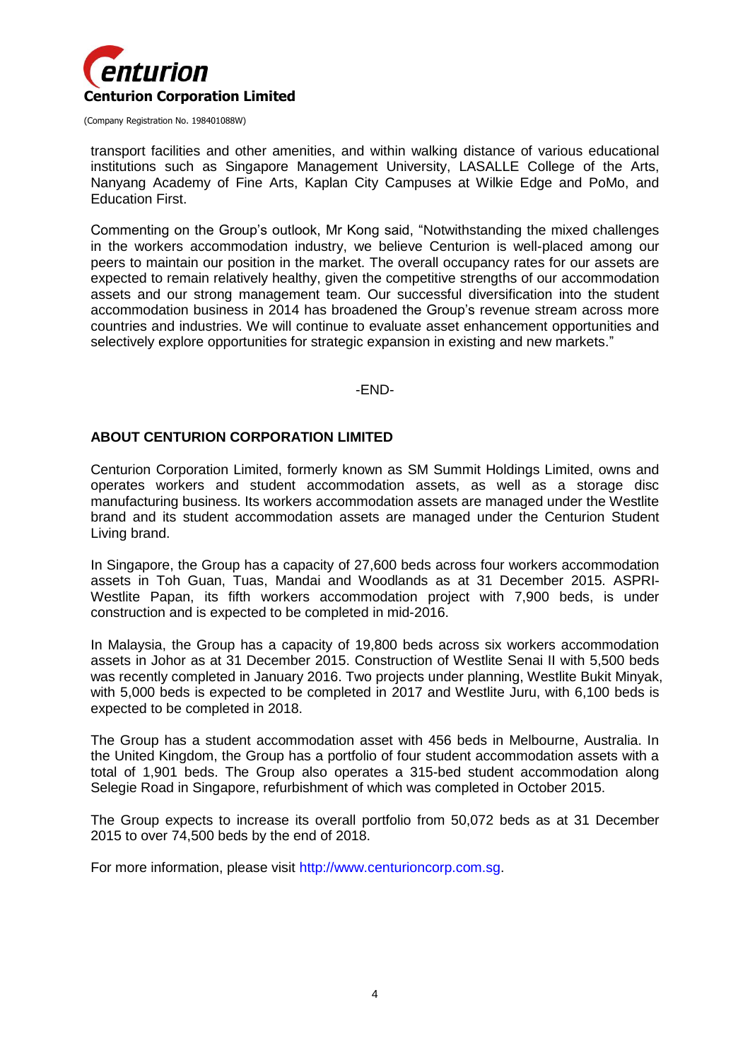

transport facilities and other amenities, and within walking distance of various educational institutions such as Singapore Management University, LASALLE College of the Arts, Nanyang Academy of Fine Arts, Kaplan City Campuses at Wilkie Edge and PoMo, and Education First.

Commenting on the Group's outlook, Mr Kong said, "Notwithstanding the mixed challenges in the workers accommodation industry, we believe Centurion is well-placed among our peers to maintain our position in the market. The overall occupancy rates for our assets are expected to remain relatively healthy, given the competitive strengths of our accommodation assets and our strong management team. Our successful diversification into the student accommodation business in 2014 has broadened the Group's revenue stream across more countries and industries. We will continue to evaluate asset enhancement opportunities and selectively explore opportunities for strategic expansion in existing and new markets."

-END-

#### **ABOUT CENTURION CORPORATION LIMITED**

Centurion Corporation Limited, formerly known as SM Summit Holdings Limited, owns and operates workers and student accommodation assets, as well as a storage disc manufacturing business. Its workers accommodation assets are managed under the Westlite brand and its student accommodation assets are managed under the Centurion Student Living brand.

In Singapore, the Group has a capacity of 27,600 beds across four workers accommodation assets in Toh Guan, Tuas, Mandai and Woodlands as at 31 December 2015. ASPRI-Westlite Papan, its fifth workers accommodation project with 7,900 beds, is under construction and is expected to be completed in mid-2016.

In Malaysia, the Group has a capacity of 19,800 beds across six workers accommodation assets in Johor as at 31 December 2015. Construction of Westlite Senai II with 5,500 beds was recently completed in January 2016. Two projects under planning, Westlite Bukit Minyak, with 5,000 beds is expected to be completed in 2017 and Westlite Juru, with 6,100 beds is expected to be completed in 2018.

The Group has a student accommodation asset with 456 beds in Melbourne, Australia. In the United Kingdom, the Group has a portfolio of four student accommodation assets with a total of 1,901 beds. The Group also operates a 315-bed student accommodation along Selegie Road in Singapore, refurbishment of which was completed in October 2015.

The Group expects to increase its overall portfolio from 50,072 beds as at 31 December 2015 to over 74,500 beds by the end of 2018.

For more information, please visit http://www.centurioncorp.com.sg.